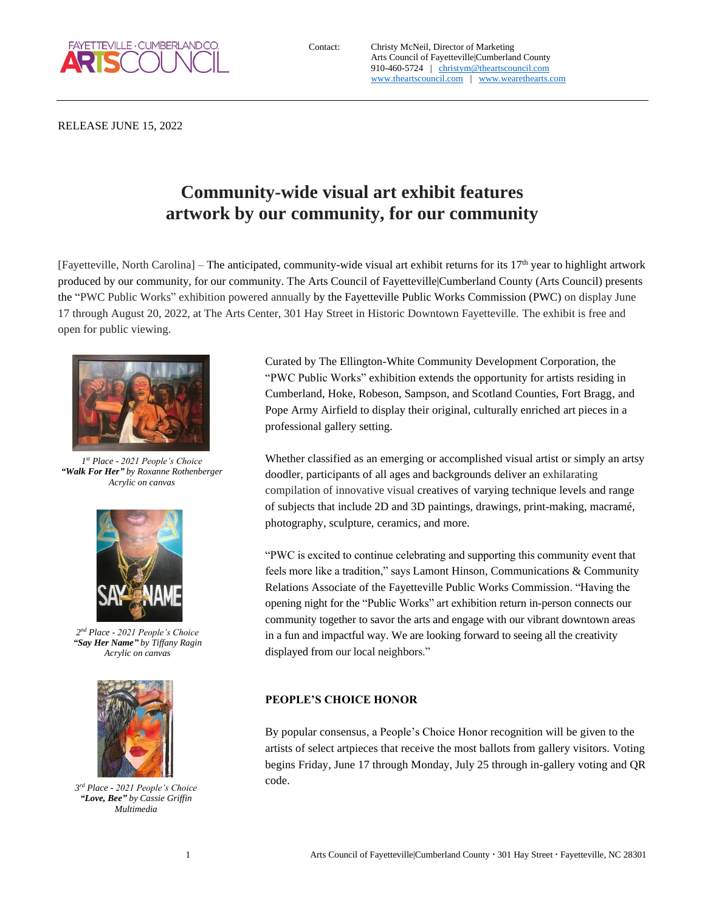

RELEASE JUNE 15, 2022

## **Community-wide visual art exhibit features artwork by our community, for our community**

[Fayetteville, North Carolina] – The anticipated, community-wide visual art exhibit returns for its 17<sup>th</sup> year to highlight artwork produced by our community, for our community. The Arts Council of Fayetteville|Cumberland County (Arts Council) presents the "PWC Public Works" exhibition powered annually by the Fayetteville Public Works Commission (PWC) on display June 17 through August 20, 2022, at The Arts Center, 301 Hay Street in Historic Downtown Fayetteville. The exhibit is free and open for public viewing.



*1 st Place - 2021 People's Choice "Walk For Her" by Roxanne Rothenberger Acrylic on canvas*



*2 nd Place - 2021 People's Choice "Say Her Name" by Tiffany Ragin Acrylic on canvas*



*3 rd Place - 2021 People's Choice "Love, Bee" by Cassie Griffin Multimedia*

Curated by The Ellington-White Community Development Corporation, the "PWC Public Works" exhibition extends the opportunity for artists residing in Cumberland, Hoke, Robeson, Sampson, and Scotland Counties, Fort Bragg, and Pope Army Airfield to display their original, culturally enriched art pieces in a professional gallery setting.

Whether classified as an emerging or accomplished visual artist or simply an artsy doodler, participants of all ages and backgrounds deliver an exhilarating compilation of innovative visual creatives of varying technique levels and range of subjects that include 2D and 3D paintings, drawings, print-making, macramé, photography, sculpture, ceramics, and more.

"PWC is excited to continue celebrating and supporting this community event that feels more like a tradition," says Lamont Hinson, Communications & Community Relations Associate of the Fayetteville Public Works Commission. "Having the opening night for the "Public Works" art exhibition return in-person connects our community together to savor the arts and engage with our vibrant downtown areas in a fun and impactful way. We are looking forward to seeing all the creativity displayed from our local neighbors."

## **PEOPLE'S CHOICE HONOR**

By popular consensus, a People's Choice Honor recognition will be given to the artists of select artpieces that receive the most ballots from gallery visitors. Voting begins Friday, June 17 through Monday, July 25 through in-gallery voting and QR code.